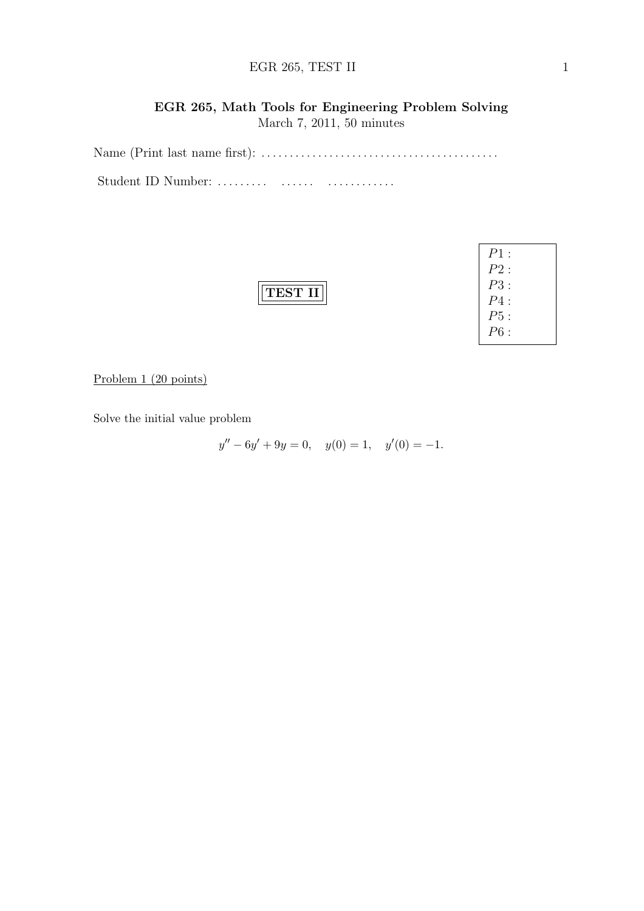### $EGR 265, TEST II$  1

# EGR 265, Math Tools for Engineering Problem Solving

March 7, 2011, 50 minutes

Name (Print last name first): . . . . . . . . . . . . . . . . . . . . . . . . . . . . . . . . . . . . . . . . . . Student ID Number: ......... ....... .................

Problem 1 (20 points)

Solve the initial value problem

$$
y'' - 6y' + 9y = 0, \quad y(0) = 1, \quad y'(0) = -1.
$$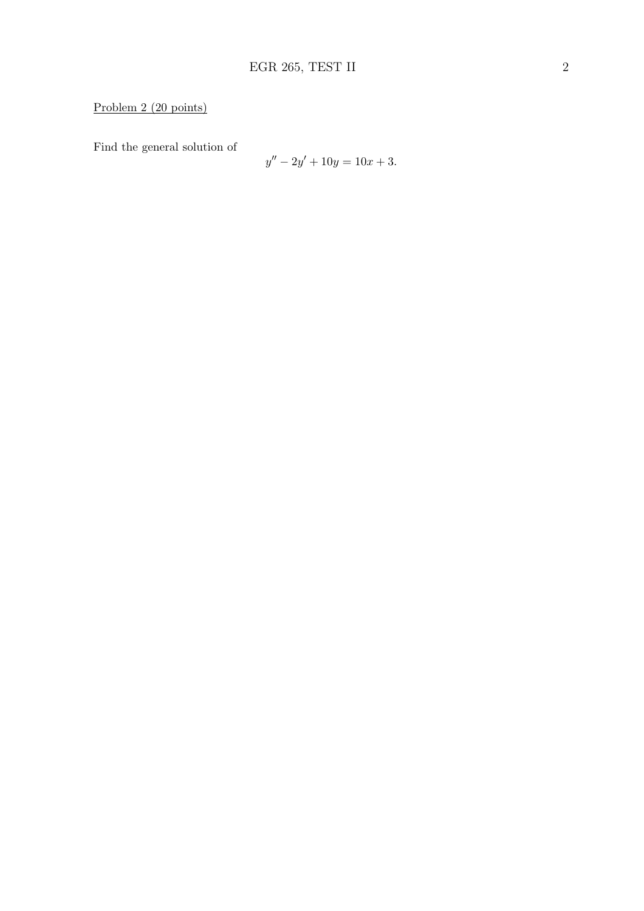## Problem 2 (20 points)

Find the general solution of

$$
y'' - 2y' + 10y = 10x + 3.
$$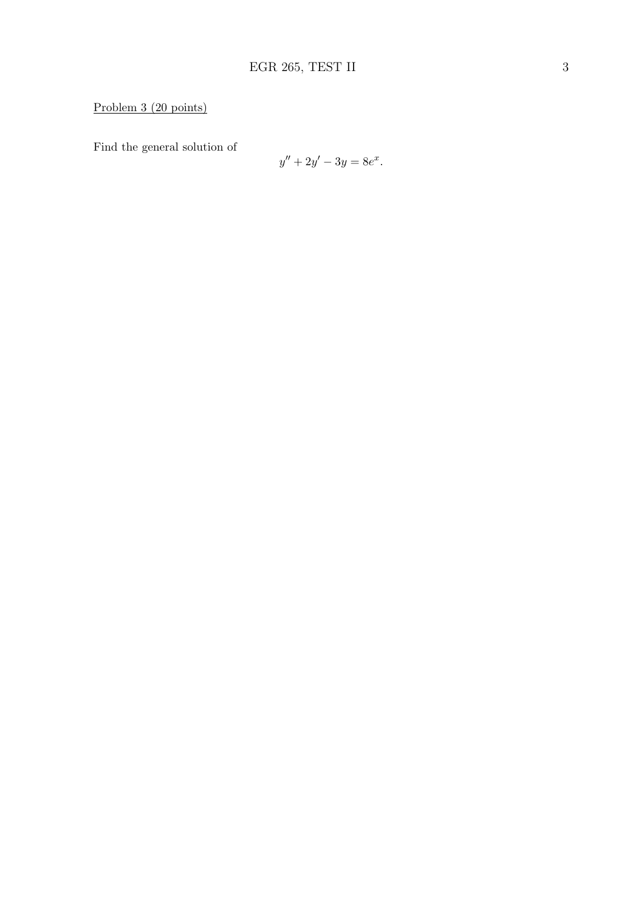## Problem 3 (20 points)

Find the general solution of

$$
y'' + 2y' - 3y = 8e^x.
$$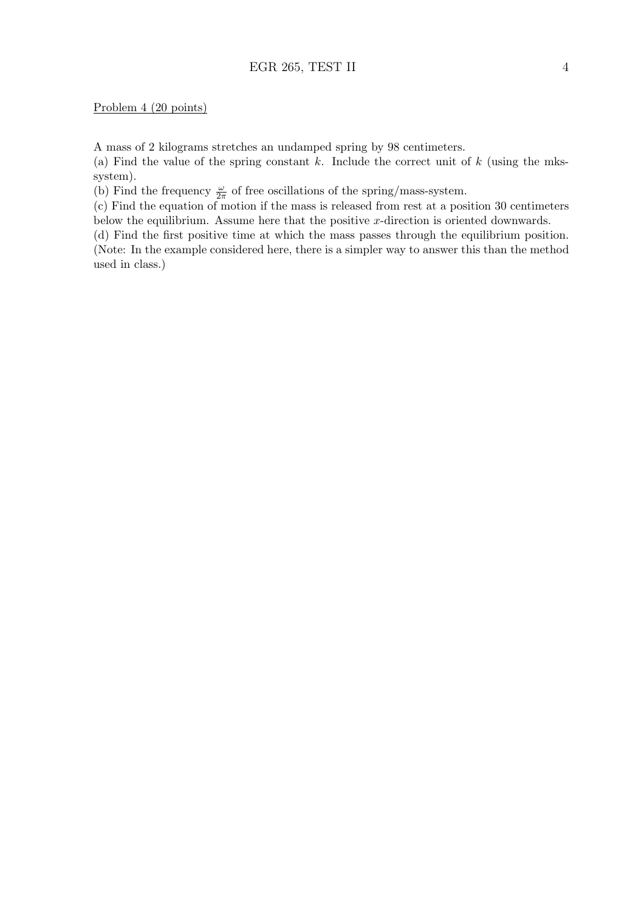### Problem 4 (20 points)

A mass of 2 kilograms stretches an undamped spring by 98 centimeters.

(a) Find the value of the spring constant  $k$ . Include the correct unit of  $k$  (using the mkssystem).

(b) Find the frequency  $\frac{\omega}{2\pi}$  of free oscillations of the spring/mass-system.

(c) Find the equation of motion if the mass is released from rest at a position 30 centimeters below the equilibrium. Assume here that the positive x-direction is oriented downwards.

(d) Find the first positive time at which the mass passes through the equilibrium position. (Note: In the example considered here, there is a simpler way to answer this than the method used in class.)